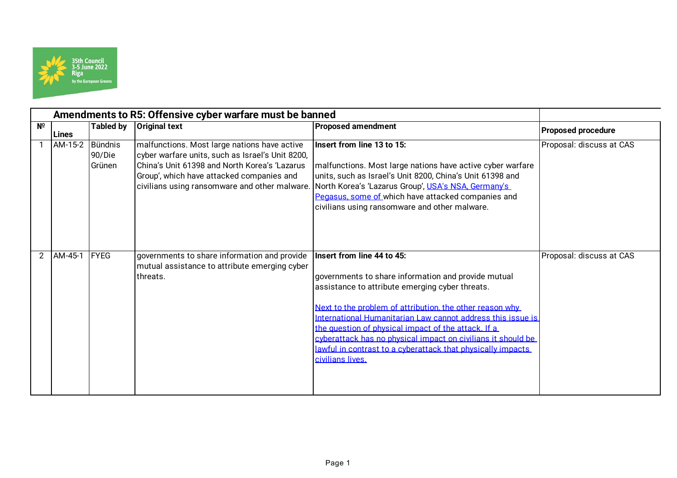

|             | Amendments to R5: Offensive cyber warfare must be banned |                  |                                                                                                                                                                                                |                                                                                                                                                                                                                                                                                                                                                                                                                                                                           |                           |
|-------------|----------------------------------------------------------|------------------|------------------------------------------------------------------------------------------------------------------------------------------------------------------------------------------------|---------------------------------------------------------------------------------------------------------------------------------------------------------------------------------------------------------------------------------------------------------------------------------------------------------------------------------------------------------------------------------------------------------------------------------------------------------------------------|---------------------------|
| $N^{\circ}$ | Lines                                                    | <b>Tabled by</b> | <b>Original text</b>                                                                                                                                                                           | <b>Proposed amendment</b>                                                                                                                                                                                                                                                                                                                                                                                                                                                 | <b>Proposed procedure</b> |
|             | AM-15-2 Bündnis                                          | 90/Die<br>Grünen | malfunctions. Most large nations have active<br>cyber warfare units, such as Israel's Unit 8200,<br>China's Unit 61398 and North Korea's 'Lazarus<br>Group', which have attacked companies and | Insert from line 13 to 15:<br>malfunctions. Most large nations have active cyber warfare<br>units, such as Israel's Unit 8200, China's Unit 61398 and<br>civilians using ransomware and other malware. North Korea's 'Lazarus Group', USA's NSA, Germany's<br>Pegasus, some of which have attacked companies and<br>civilians using ransomware and other malware.                                                                                                         | Proposal: discuss at CAS  |
| 2           | AM-45-1                                                  | <b>FYEG</b>      | governments to share information and provide<br>mutual assistance to attribute emerging cyber<br>threats.                                                                                      | Insert from line 44 to 45:<br>governments to share information and provide mutual<br>assistance to attribute emerging cyber threats.<br>Next to the problem of attribution, the other reason why<br>International Humanitarian Law cannot address this issue is<br>the question of physical impact of the attack. If a<br>cyberattack has no physical impact on civilians it should be<br>lawful in contrast to a cyberattack that physically impacts<br>civilians lives. | Proposal: discuss at CAS  |